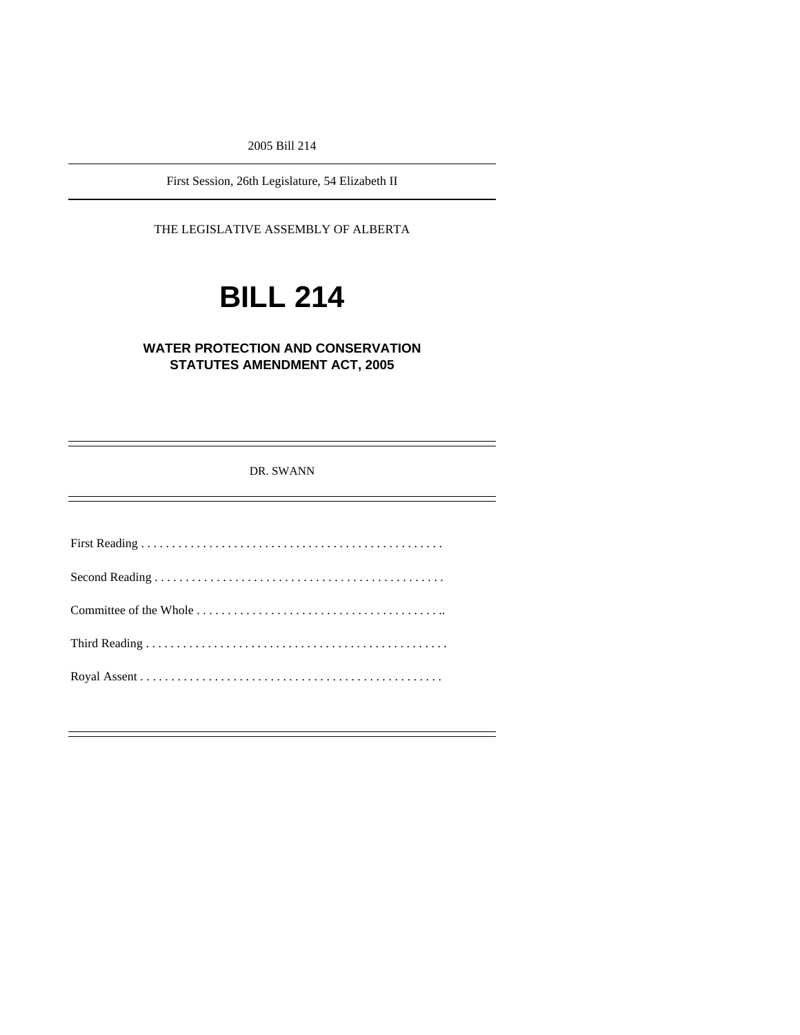2005 Bill 214

First Session, 26th Legislature, 54 Elizabeth II

THE LEGISLATIVE ASSEMBLY OF ALBERTA

# **BILL 214**

# **WATER PROTECTION AND CONSERVATION STATUTES AMENDMENT ACT, 2005**

DR. SWANN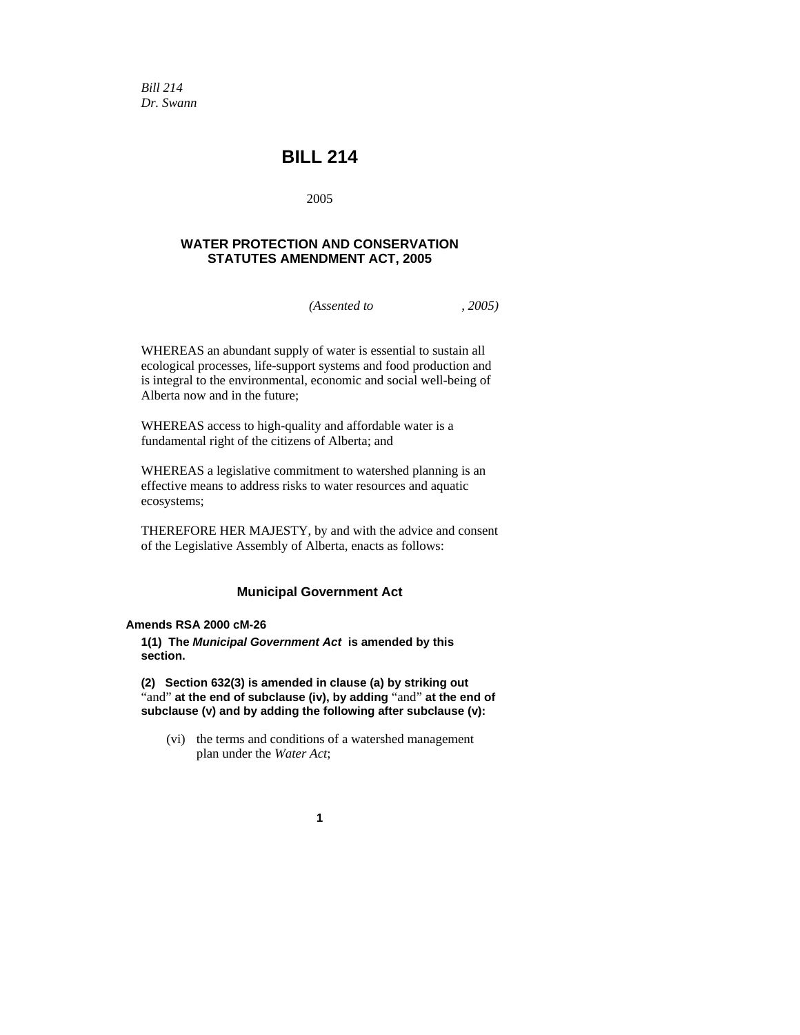*Bill 214 Dr. Swann* 

# **BILL 214**

2005

## **WATER PROTECTION AND CONSERVATION STATUTES AMENDMENT ACT, 2005**

*(Assented to , 2005)* 

WHEREAS an abundant supply of water is essential to sustain all ecological processes, life-support systems and food production and is integral to the environmental, economic and social well-being of Alberta now and in the future;

WHEREAS access to high-quality and affordable water is a fundamental right of the citizens of Alberta; and

WHEREAS a legislative commitment to watershed planning is an effective means to address risks to water resources and aquatic ecosystems;

THEREFORE HER MAJESTY, by and with the advice and consent of the Legislative Assembly of Alberta, enacts as follows:

### **Municipal Government Act**

#### **Amends RSA 2000 cM-26**

**1(1) The** *Municipal Government Act* **is amended by this section.** 

**(2) Section 632(3) is amended in clause (a) by striking out**  "and" **at the end of subclause (iv), by adding** "and" **at the end of subclause (v) and by adding the following after subclause (v):** 

 (vi) the terms and conditions of a watershed management plan under the *Water Act*;

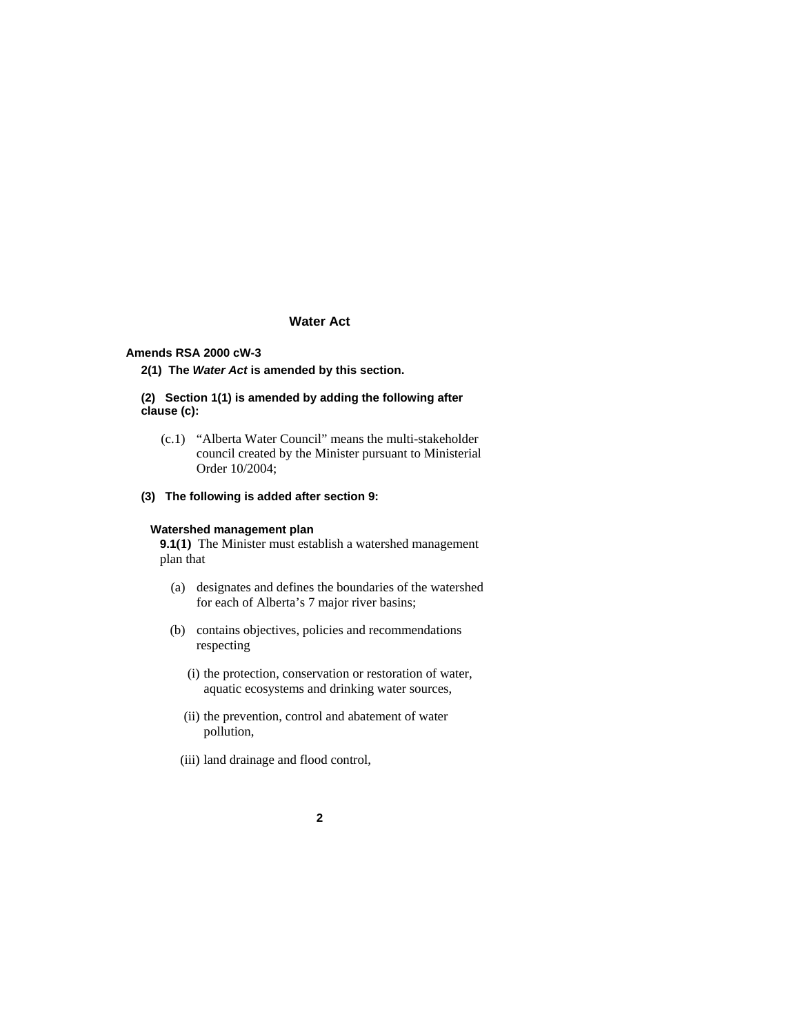### **Water Act**

### **Amends RSA 2000 cW-3**

**2(1) The** *Water Act* **is amended by this section.** 

#### **(2) Section 1(1) is amended by adding the following after clause (c):**

- (c.1) "Alberta Water Council" means the multi-stakeholder council created by the Minister pursuant to Ministerial Order 10/2004;
- **(3) The following is added after section 9:**

#### **Watershed management plan**

**9.1(1)** The Minister must establish a watershed management plan that

- (a) designates and defines the boundaries of the watershed for each of Alberta's 7 major river basins;
- (b) contains objectives, policies and recommendations respecting
	- (i) the protection, conservation or restoration of water, aquatic ecosystems and drinking water sources,
	- (ii) the prevention, control and abatement of water pollution,
	- (iii) land drainage and flood control,
		- **2**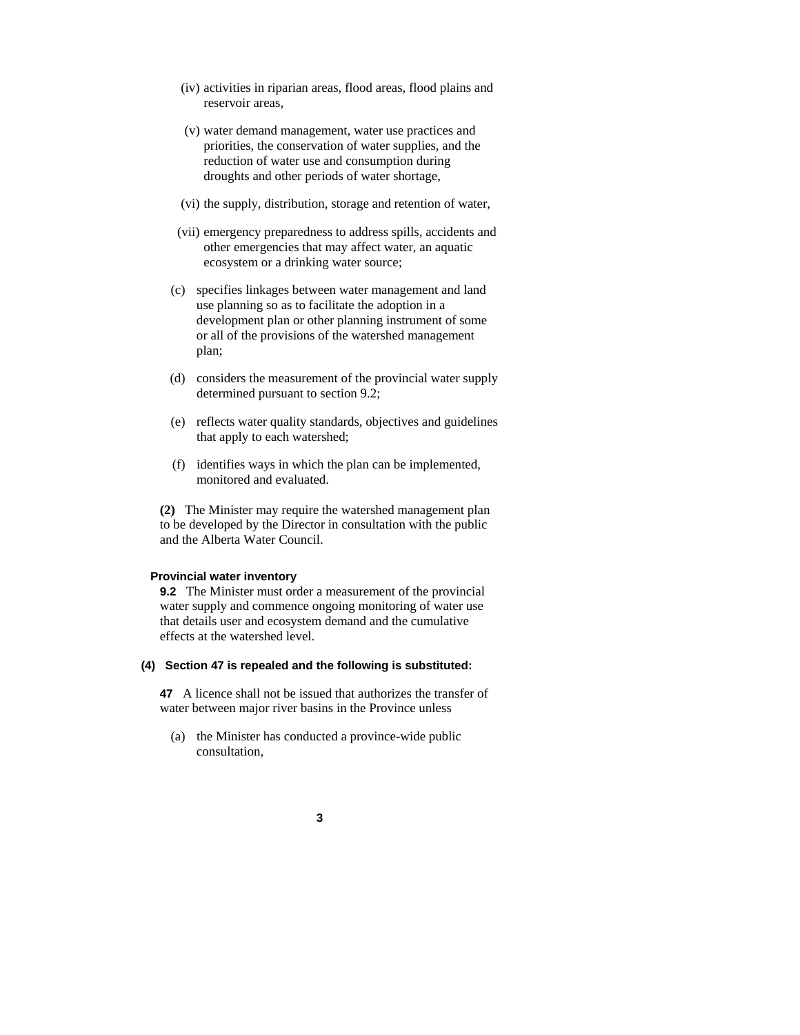- (iv) activities in riparian areas, flood areas, flood plains and reservoir areas,
- (v) water demand management, water use practices and priorities, the conservation of water supplies, and the reduction of water use and consumption during droughts and other periods of water shortage,
- (vi) the supply, distribution, storage and retention of water,
- (vii) emergency preparedness to address spills, accidents and other emergencies that may affect water, an aquatic ecosystem or a drinking water source;
- (c) specifies linkages between water management and land use planning so as to facilitate the adoption in a development plan or other planning instrument of some or all of the provisions of the watershed management plan;
- (d) considers the measurement of the provincial water supply determined pursuant to section 9.2;
- (e) reflects water quality standards, objectives and guidelines that apply to each watershed;
- (f) identifies ways in which the plan can be implemented, monitored and evaluated.

**(2)** The Minister may require the watershed management plan to be developed by the Director in consultation with the public and the Alberta Water Council.

#### **Provincial water inventory**

**9.2** The Minister must order a measurement of the provincial water supply and commence ongoing monitoring of water use that details user and ecosystem demand and the cumulative effects at the watershed level.

#### **(4) Section 47 is repealed and the following is substituted:**

**47** A licence shall not be issued that authorizes the transfer of water between major river basins in the Province unless

- (a) the Minister has conducted a province-wide public consultation,
	- **3**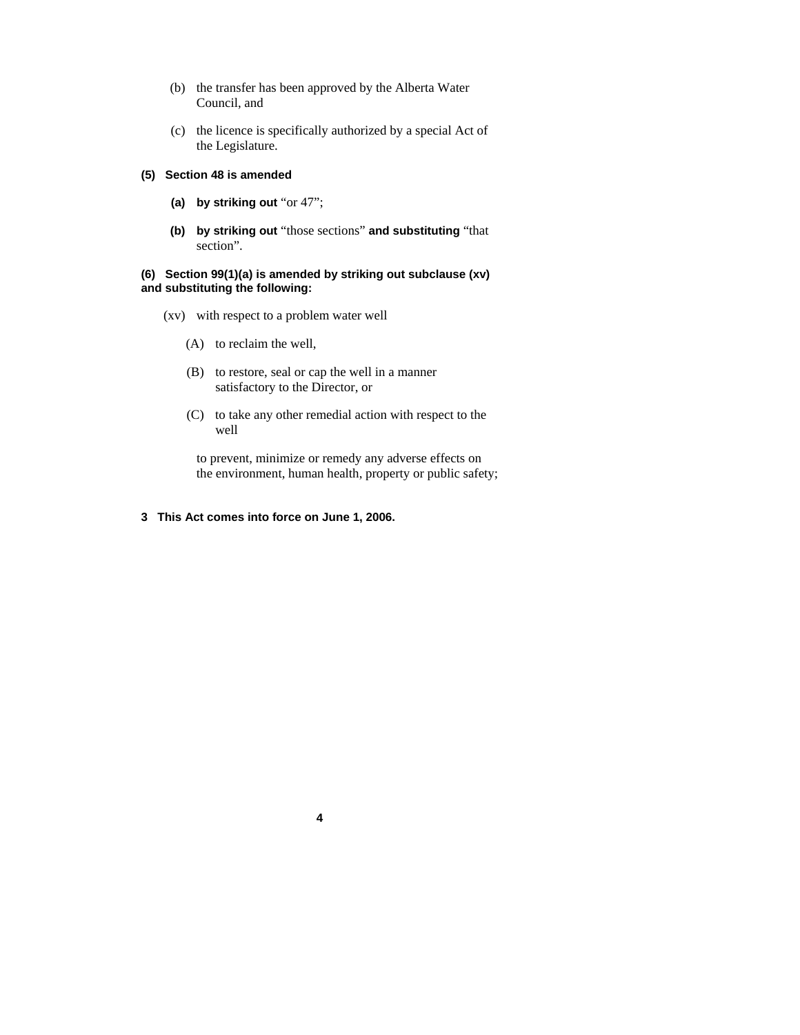- (b) the transfer has been approved by the Alberta Water Council, and
- (c) the licence is specifically authorized by a special Act of the Legislature.

#### **(5) Section 48 is amended**

- **(a) by striking out** "or 47";
- **(b) by striking out** "those sections" **and substituting** "that section".

#### **(6) Section 99(1)(a) is amended by striking out subclause (xv) and substituting the following:**

- (xv) with respect to a problem water well
	- (A) to reclaim the well,
	- (B) to restore, seal or cap the well in a manner satisfactory to the Director, or

**4**

 (C) to take any other remedial action with respect to the well

 to prevent, minimize or remedy any adverse effects on the environment, human health, property or public safety;

**3 This Act comes into force on June 1, 2006.**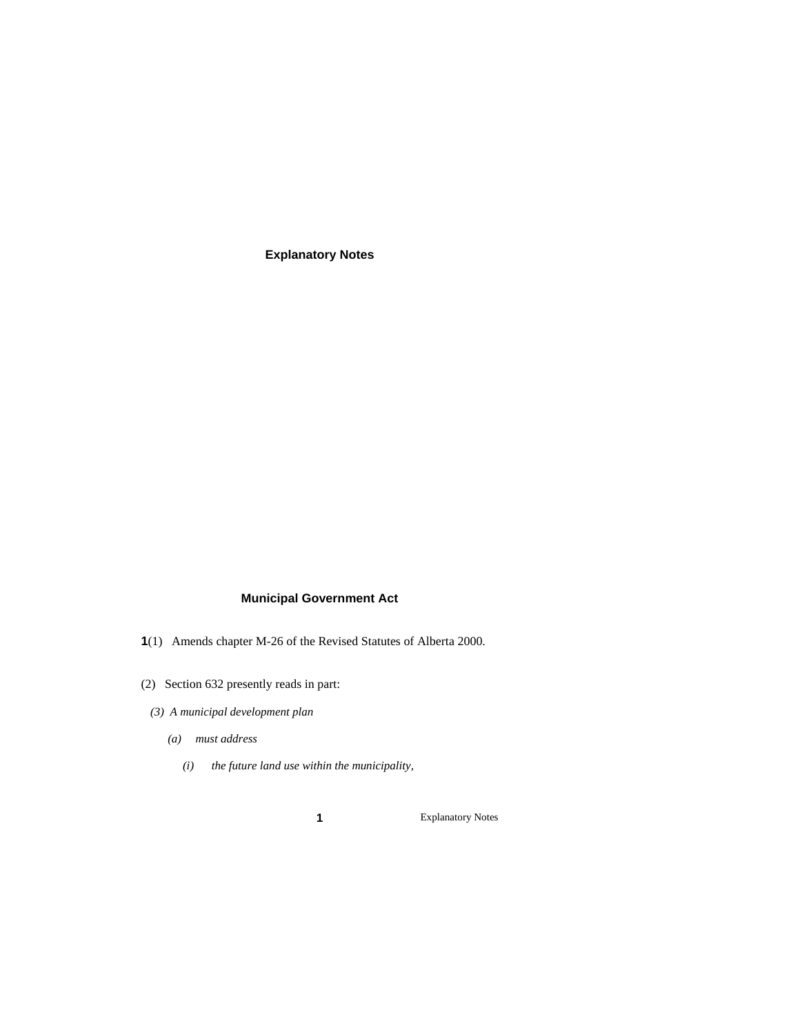**Explanatory Notes** 

## **Municipal Government Act**

- **1**(1) Amends chapter M-26 of the Revised Statutes of Alberta 2000.
- (2) Section 632 presently reads in part:
	- *(3) A municipal development plan* 
		- *(a) must address* 
			- *(i) the future land use within the municipality,*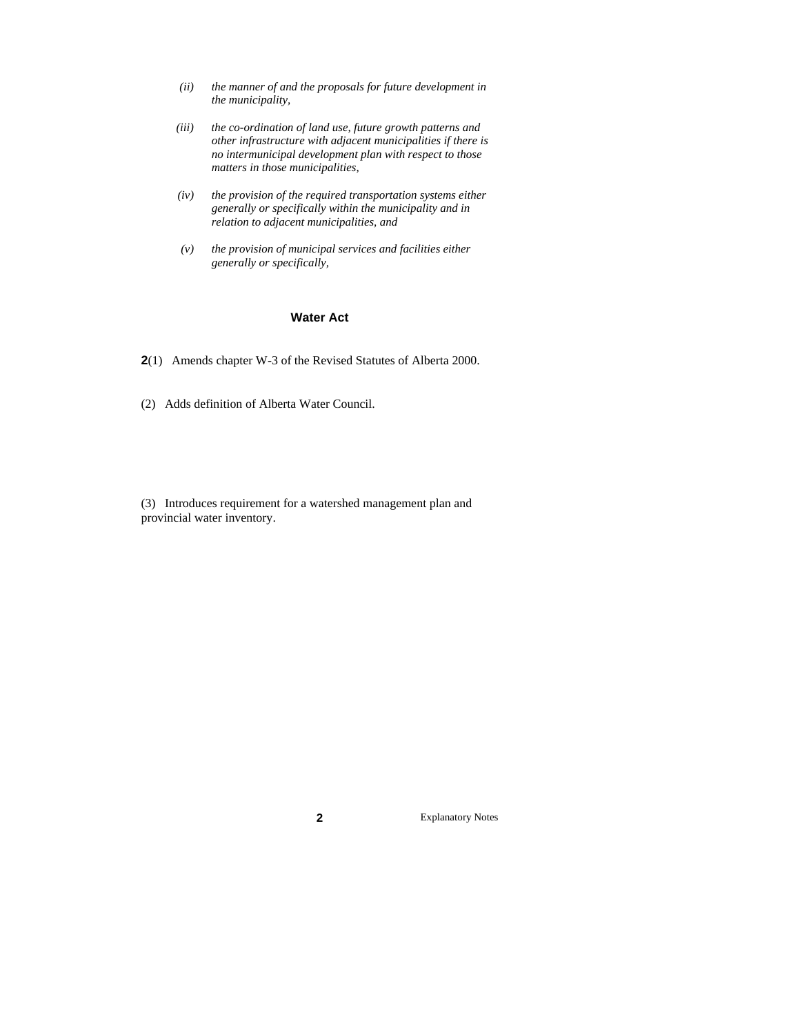- *(ii) the manner of and the proposals for future development in the municipality,*
- *(iii) the co-ordination of land use, future growth patterns and other infrastructure with adjacent municipalities if there is no intermunicipal development plan with respect to those matters in those municipalities,*
- *(iv) the provision of the required transportation systems either generally or specifically within the municipality and in relation to adjacent municipalities, and*
- *(v) the provision of municipal services and facilities either generally or specifically,*

#### **Water Act**

- **2**(1) Amends chapter W-3 of the Revised Statutes of Alberta 2000.
- (2) Adds definition of Alberta Water Council.
- (3) Introduces requirement for a watershed management plan and provincial water inventory.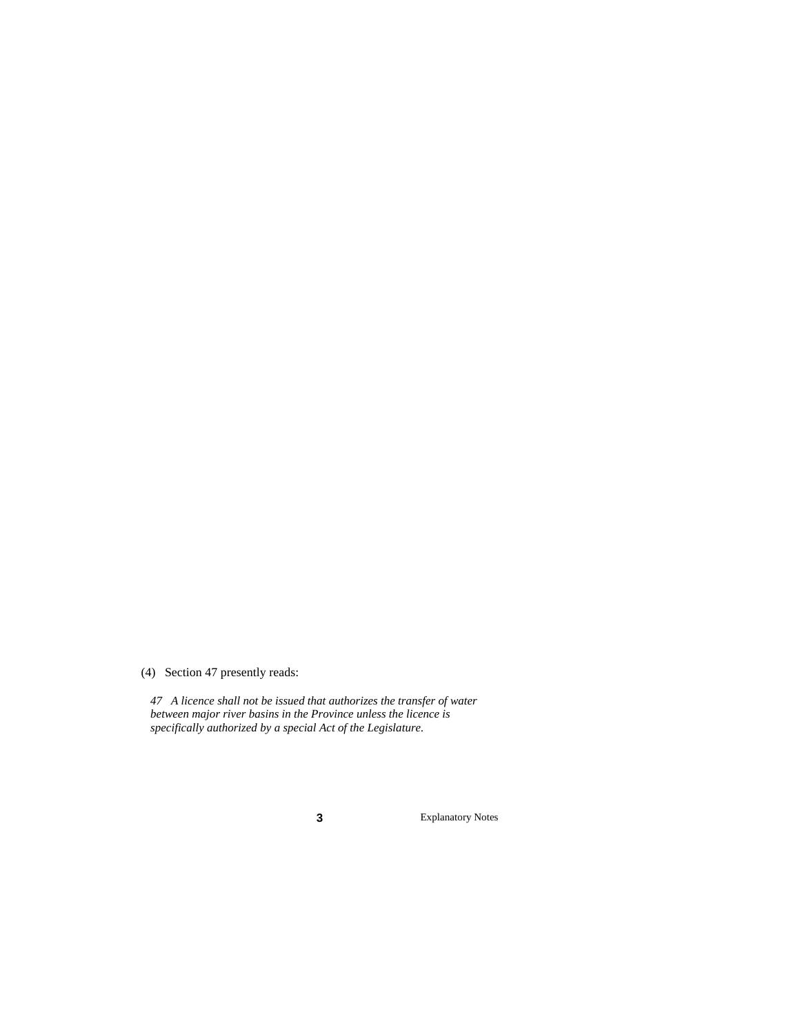(4) Section 47 presently reads:

*47 A licence shall not be issued that authorizes the transfer of water between major river basins in the Province unless the licence is specifically authorized by a special Act of the Legislature.*